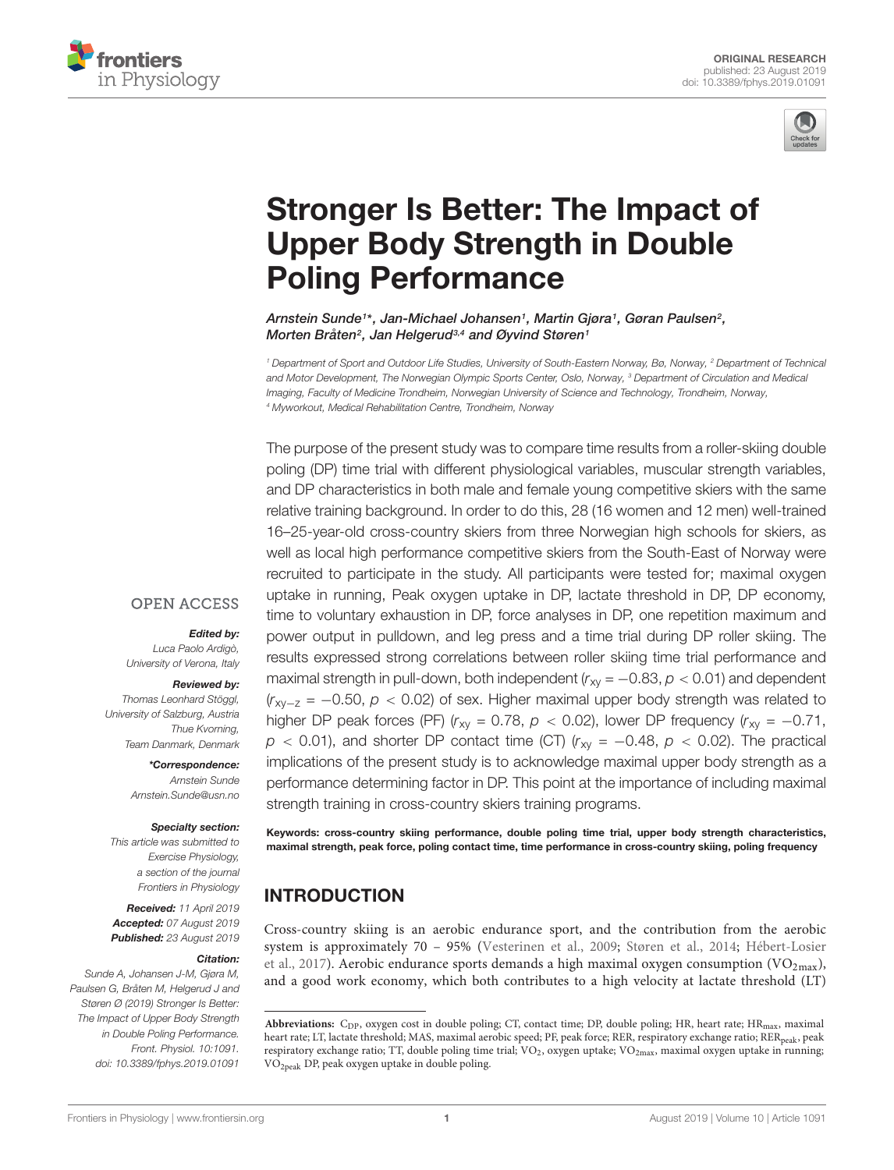



# [Stronger Is Better: The Impact of](https://www.frontiersin.org/articles/10.3389/fphys.2019.01091/full) Upper Body Strength in Double Poling Performance

[Arnstein Sunde](http://loop.frontiersin.org/people/715339/overview)1\*, [Jan-Michael Johansen](http://loop.frontiersin.org/people/650090/overview)1, Martin Gjøra1, Gøran Paulsen<sup>2</sup>, Morten Bråten<sup>2</sup>, Jan Helgerud<sup>3,4</sup> and [Øyvind Støren](http://loop.frontiersin.org/people/713743/overview)1

<sup>1</sup> Department of Sport and Outdoor Life Studies, University of South-Eastern Norway, Bø, Norway, <sup>2</sup> Department of Technical and Motor Development, The Norwegian Olympic Sports Center, Oslo, Norway, <sup>3</sup> Department of Circulation and Medical Imaging, Faculty of Medicine Trondheim, Norwegian University of Science and Technology, Trondheim, Norway, <sup>4</sup> Myworkout, Medical Rehabilitation Centre, Trondheim, Norway

The purpose of the present study was to compare time results from a roller-skiing double poling (DP) time trial with different physiological variables, muscular strength variables, and DP characteristics in both male and female young competitive skiers with the same relative training background. In order to do this, 28 (16 women and 12 men) well-trained 16–25-year-old cross-country skiers from three Norwegian high schools for skiers, as well as local high performance competitive skiers from the South-East of Norway were recruited to participate in the study. All participants were tested for; maximal oxygen uptake in running, Peak oxygen uptake in DP, lactate threshold in DP, DP economy, time to voluntary exhaustion in DP, force analyses in DP, one repetition maximum and power output in pulldown, and leg press and a time trial during DP roller skiing. The results expressed strong correlations between roller skiing time trial performance and maximal strength in pull-down, both independent ( $r_{xy} = -0.83$ ,  $p < 0.01$ ) and dependent  $(r_{xy-z} = -0.50, p < 0.02)$  of sex. Higher maximal upper body strength was related to higher DP peak forces (PF) ( $r_{xy}$  = 0.78,  $p$  < 0.02), lower DP frequency ( $r_{xy}$  = -0.71,  $p$  < 0.01), and shorter DP contact time (CT) ( $r_{xy}$  = -0.48,  $p$  < 0.02). The practical implications of the present study is to acknowledge maximal upper body strength as a performance determining factor in DP. This point at the importance of including maximal strength training in cross-country skiers training programs.

Edited by:

**OPEN ACCESS** 

Luca Paolo Ardigò, University of Verona, Italy

#### Reviewed by:

Thomas Leonhard Stöggl, University of Salzburg, Austria Thue Kvorning, Team Danmark, Denmark

> \*Correspondence: Arnstein Sunde Arnstein.Sunde@usn.no

#### Specialty section:

This article was submitted to Exercise Physiology, a section of the journal Frontiers in Physiology

Received: 11 April 2019 Accepted: 07 August 2019 Published: 23 August 2019

#### Citation:

Sunde A, Johansen J-M, Gjøra M, Paulsen G, Bråten M, Helgerud J and Støren Ø (2019) Stronger Is Better: The Impact of Upper Body Strength in Double Poling Performance. Front. Physiol. 10:1091. doi: [10.3389/fphys.2019.01091](https://doi.org/10.3389/fphys.2019.01091)

Keywords: cross-country skiing performance, double poling time trial, upper body strength characteristics, maximal strength, peak force, poling contact time, time performance in cross-country skiing, poling frequency

# INTRODUCTION

Cross-country skiing is an aerobic endurance sport, and the contribution from the aerobic system is approximately 70 – 95% [\(Vesterinen et al.,](#page-10-0) [2009;](#page-10-0) [Støren et al.,](#page-10-1) [2014;](#page-10-1) [Hébert-Losier](#page-9-0) [et al.,](#page-9-0) [2017\)](#page-9-0). Aerobic endurance sports demands a high maximal oxygen consumption (VO<sub>2max</sub>), and a good work economy, which both contributes to a high velocity at lactate threshold (LT)

Abbreviations: C<sub>DP</sub>, oxygen cost in double poling; CT, contact time; DP, double poling; HR, heart rate; HR<sub>max</sub>, maximal heart rate; LT, lactate threshold; MAS, maximal aerobic speed; PF, peak force; RER, respiratory exchange ratio; RER<sub>peak</sub>, peak respiratory exchange ratio; TT, double poling time trial; VO<sub>2</sub>, oxygen uptake; VO<sub>2max</sub>, maximal oxygen uptake in running; VO2peak DP, peak oxygen uptake in double poling.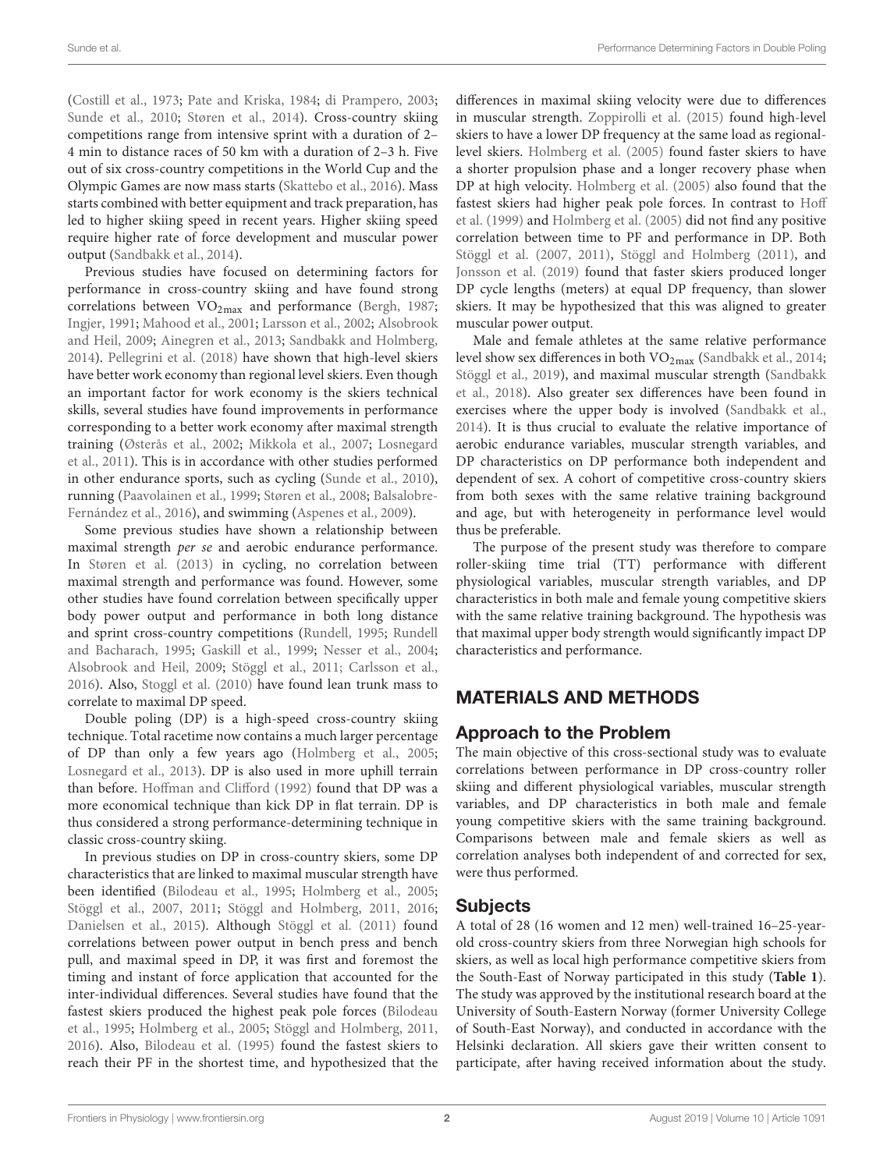[\(Costill et al.,](#page-9-1) [1973;](#page-9-1) [Pate and Kriska,](#page-10-2) [1984;](#page-10-2) [di Prampero,](#page-9-2) [2003;](#page-9-2) [Sunde et al.,](#page-10-3) [2010;](#page-10-3) [Støren et al.,](#page-10-1) [2014\)](#page-10-1). Cross-country skiing competitions range from intensive sprint with a duration of 2– 4 min to distance races of 50 km with a duration of 2–3 h. Five out of six cross-country competitions in the World Cup and the Olympic Games are now mass starts [\(Skattebo et al.,](#page-10-4) [2016\)](#page-10-4). Mass starts combined with better equipment and track preparation, has led to higher skiing speed in recent years. Higher skiing speed require higher rate of force development and muscular power output [\(Sandbakk et al.,](#page-10-5) [2014\)](#page-10-5).

Previous studies have focused on determining factors for performance in cross-country skiing and have found strong correlations between  $VO_{2max}$  and performance [\(Bergh,](#page-9-3) [1987;](#page-9-3) [Ingjer,](#page-9-4) [1991;](#page-9-4) [Mahood et al.,](#page-9-5) [2001;](#page-9-5) [Larsson et al.,](#page-9-6) [2002;](#page-9-6) [Alsobrook](#page-9-7) [and Heil,](#page-9-7) [2009;](#page-9-7) [Ainegren et al.,](#page-9-8) [2013;](#page-9-8) [Sandbakk and Holmberg,](#page-10-6) [2014\)](#page-10-6). [Pellegrini et al.](#page-10-7) [\(2018\)](#page-10-7) have shown that high-level skiers have better work economy than regional level skiers. Even though an important factor for work economy is the skiers technical skills, several studies have found improvements in performance corresponding to a better work economy after maximal strength training [\(Østerås et al.,](#page-9-9) [2002;](#page-9-9) [Mikkola et al.,](#page-9-10) [2007;](#page-9-10) [Losnegard](#page-9-11) [et al.,](#page-9-11) [2011\)](#page-9-11). This is in accordance with other studies performed in other endurance sports, such as cycling [\(Sunde et al.,](#page-10-3) [2010\)](#page-10-3), running [\(Paavolainen et al.,](#page-10-8) [1999;](#page-10-8) [Støren et al.,](#page-10-9) [2008;](#page-10-9) [Balsalobre-](#page-9-12)[Fernández et al.,](#page-9-12) [2016\)](#page-9-12), and swimming [\(Aspenes et al.,](#page-9-13) [2009\)](#page-9-13).

Some previous studies have shown a relationship between maximal strength per se and aerobic endurance performance. In [Støren et al.](#page-10-10) [\(2013\)](#page-10-10) in cycling, no correlation between maximal strength and performance was found. However, some other studies have found correlation between specifically upper body power output and performance in both long distance and sprint cross-country competitions [\(Rundell,](#page-10-11) [1995;](#page-10-11) [Rundell](#page-10-12) [and Bacharach,](#page-10-12) [1995;](#page-10-12) [Gaskill et al.,](#page-9-14) [1999;](#page-9-14) [Nesser et al.,](#page-9-15) [2004;](#page-9-15) [Alsobrook and Heil,](#page-9-7) [2009;](#page-9-7) [Stöggl et al.,](#page-10-13) [2011;](#page-10-13) [Carlsson et al.,](#page-9-16) [2016\)](#page-9-16). Also, [Stoggl et al.](#page-10-14) [\(2010\)](#page-10-14) have found lean trunk mass to correlate to maximal DP speed.

Double poling (DP) is a high-speed cross-country skiing technique. Total racetime now contains a much larger percentage of DP than only a few years ago [\(Holmberg et al.,](#page-9-17) [2005;](#page-9-17) [Losnegard et al.,](#page-9-18) [2013\)](#page-9-18). DP is also used in more uphill terrain than before. [Hoffman and Clifford](#page-9-19) [\(1992\)](#page-9-19) found that DP was a more economical technique than kick DP in flat terrain. DP is thus considered a strong performance-determining technique in classic cross-country skiing.

In previous studies on DP in cross-country skiers, some DP characteristics that are linked to maximal muscular strength have been identified [\(Bilodeau et al.,](#page-9-20) [1995;](#page-9-20) [Holmberg et al.,](#page-9-17) [2005;](#page-9-17) [Stöggl et al.,](#page-10-15) [2007,](#page-10-15) [2011;](#page-10-13) [Stöggl and Holmberg,](#page-10-16) [2011,](#page-10-16) [2016;](#page-10-17) [Danielsen et al.,](#page-9-21) [2015\)](#page-9-21). Although [Stöggl et al.](#page-10-13) [\(2011\)](#page-10-13) found correlations between power output in bench press and bench pull, and maximal speed in DP, it was first and foremost the timing and instant of force application that accounted for the inter-individual differences. Several studies have found that the fastest skiers produced the highest peak pole forces [\(Bilodeau](#page-9-20) [et al.,](#page-9-20) [1995;](#page-9-20) [Holmberg et al.,](#page-9-17) [2005;](#page-9-17) [Stöggl and Holmberg,](#page-10-16) [2011,](#page-10-16) [2016\)](#page-10-17). Also, [Bilodeau et al.](#page-9-20) [\(1995\)](#page-9-20) found the fastest skiers to reach their PF in the shortest time, and hypothesized that the differences in maximal skiing velocity were due to differences in muscular strength. [Zoppirolli et al.](#page-10-18) [\(2015\)](#page-10-18) found high-level skiers to have a lower DP frequency at the same load as regionallevel skiers. [Holmberg et al.](#page-9-17) [\(2005\)](#page-9-17) found faster skiers to have a shorter propulsion phase and a longer recovery phase when DP at high velocity. [Holmberg et al.](#page-9-17) [\(2005\)](#page-9-17) also found that the fastest skiers had higher peak pole forces. In contrast to [Hoff](#page-9-22) [et al.](#page-9-22) [\(1999\)](#page-9-22) and [Holmberg et al.](#page-9-17) [\(2005\)](#page-9-17) did not find any positive correlation between time to PF and performance in DP. Both [Stöggl et al.](#page-10-15) [\(2007,](#page-10-15) [2011\)](#page-10-13), [Stöggl and Holmberg](#page-10-16) [\(2011\)](#page-10-16), and [Jonsson et al.](#page-9-23) [\(2019\)](#page-9-23) found that faster skiers produced longer DP cycle lengths (meters) at equal DP frequency, than slower skiers. It may be hypothesized that this was aligned to greater muscular power output.

Male and female athletes at the same relative performance level show sex differences in both VO<sub>2max</sub> [\(Sandbakk et al.,](#page-10-5) [2014;](#page-10-5) [Stöggl et al.,](#page-10-19) [2019\)](#page-10-19), and maximal muscular strength [\(Sandbakk](#page-10-20) [et al.,](#page-10-20) [2018\)](#page-10-20). Also greater sex differences have been found in exercises where the upper body is involved [\(Sandbakk et al.,](#page-10-5) [2014\)](#page-10-5). It is thus crucial to evaluate the relative importance of aerobic endurance variables, muscular strength variables, and DP characteristics on DP performance both independent and dependent of sex. A cohort of competitive cross-country skiers from both sexes with the same relative training background and age, but with heterogeneity in performance level would thus be preferable.

The purpose of the present study was therefore to compare roller-skiing time trial (TT) performance with different physiological variables, muscular strength variables, and DP characteristics in both male and female young competitive skiers with the same relative training background. The hypothesis was that maximal upper body strength would significantly impact DP characteristics and performance.

# MATERIALS AND METHODS

# Approach to the Problem

The main objective of this cross-sectional study was to evaluate correlations between performance in DP cross-country roller skiing and different physiological variables, muscular strength variables, and DP characteristics in both male and female young competitive skiers with the same training background. Comparisons between male and female skiers as well as correlation analyses both independent of and corrected for sex, were thus performed.

# Subjects

A total of 28 (16 women and 12 men) well-trained 16–25-yearold cross-country skiers from three Norwegian high schools for skiers, as well as local high performance competitive skiers from the South-East of Norway participated in this study (**[Table 1](#page-2-0)**). The study was approved by the institutional research board at the University of South-Eastern Norway (former University College of South-East Norway), and conducted in accordance with the Helsinki declaration. All skiers gave their written consent to participate, after having received information about the study.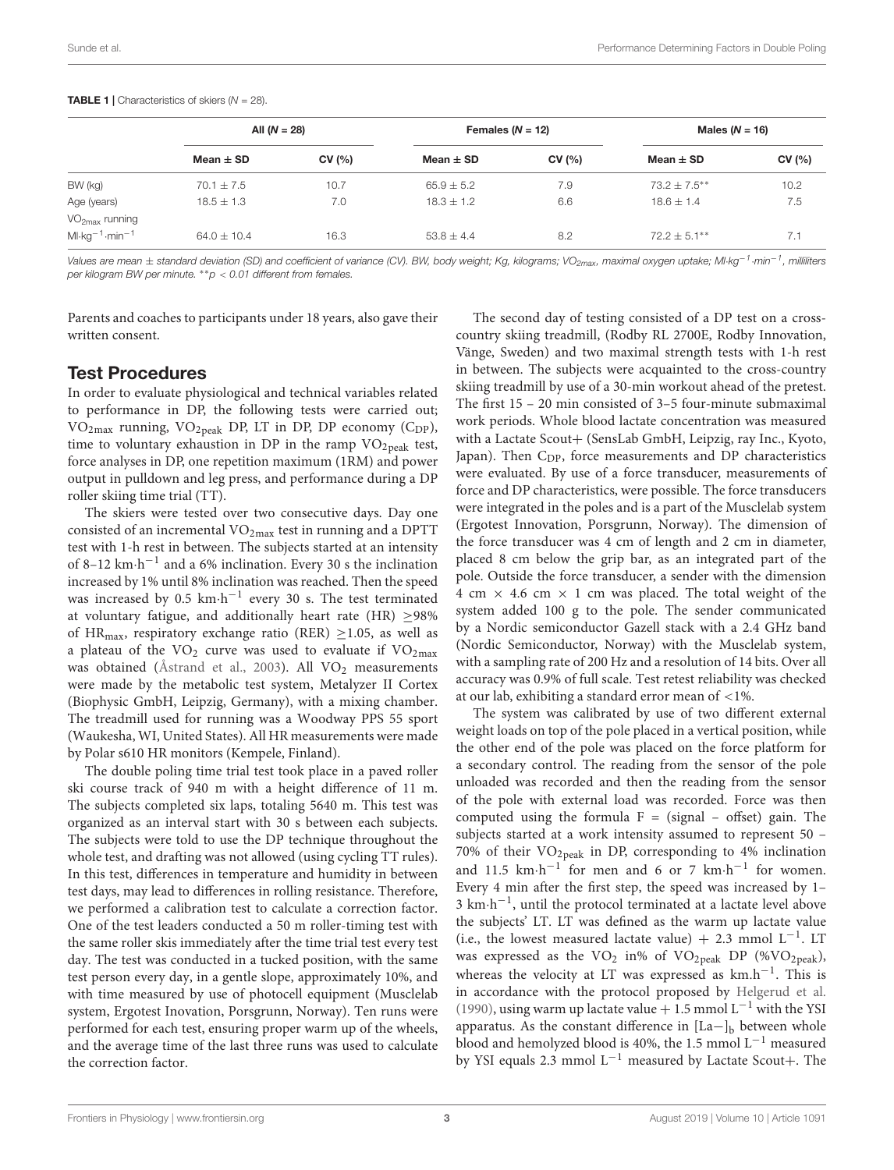|                                                               | All $(N = 28)$ |       | Females $(N = 12)$ |       | Males ( $N = 16$ ) |       |
|---------------------------------------------------------------|----------------|-------|--------------------|-------|--------------------|-------|
|                                                               | Mean $\pm$ SD  | CV(%) | Mean $\pm$ SD      | CV(%) | Mean $\pm$ SD      | CV(%) |
| BW (kg)                                                       | $70.1 \pm 7.5$ | 10.7  | $65.9 \pm 5.2$     | 7.9   | $73.2 + 7.5**$     | 10.2  |
| Age (years)                                                   | $18.5 \pm 1.3$ | 7.0   | $18.3 \pm 1.2$     | 6.6   | $18.6 \pm 1.4$     | 7.5   |
| $VO2max$ running<br>$Ml$ ·kg <sup>-1</sup> ·min <sup>-1</sup> | $64.0 + 10.4$  | 16.3  | $53.8 \pm 4.4$     | 8.2   | $72.2 + 5.1**$     | 7.1   |

#### <span id="page-2-0"></span>**TABLE 1** | Characteristics of skiers  $(N = 28)$ .

Values are mean  $\pm$  standard deviation (SD) and coefficient of variance (CV). BW, body weight; Kg, kilograms; VO<sub>2max</sub>, maximal oxygen uptake; Ml·kg<sup>−1</sup>·min<sup>−1</sup>, milliliters per kilogram BW per minute.  $*$ p < 0.01 different from females.

Parents and coaches to participants under 18 years, also gave their written consent.

#### Test Procedures

In order to evaluate physiological and technical variables related to performance in DP, the following tests were carried out;  $VO<sub>2max</sub>$  running,  $VO<sub>2peak</sub>$  DP, LT in DP, DP economy (C<sub>DP</sub>), time to voluntary exhaustion in DP in the ramp  $VO_{2\text{peak}}$  test, force analyses in DP, one repetition maximum (1RM) and power output in pulldown and leg press, and performance during a DP roller skiing time trial (TT).

The skiers were tested over two consecutive days. Day one consisted of an incremental  $VO<sub>2max</sub>$  test in running and a DPTT test with 1-h rest in between. The subjects started at an intensity of 8–12 km·h −1 and a 6% inclination. Every 30 s the inclination increased by 1% until 8% inclination was reached. Then the speed was increased by 0.5 km⋅h<sup>-1</sup> every 30 s. The test terminated at voluntary fatigue, and additionally heart rate (HR)  $\geq$ 98% of HR<sub>max</sub>, respiratory exchange ratio (RER)  $\geq$ 1.05, as well as a plateau of the  $VO<sub>2</sub>$  curve was used to evaluate if  $VO<sub>2max</sub>$ </sub> was obtained [\(Åstrand et al.,](#page-9-24) [2003\)](#page-9-24). All  $VO<sub>2</sub>$  measurements were made by the metabolic test system, Metalyzer II Cortex (Biophysic GmbH, Leipzig, Germany), with a mixing chamber. The treadmill used for running was a Woodway PPS 55 sport (Waukesha, WI, United States). All HR measurements were made by Polar s610 HR monitors (Kempele, Finland).

The double poling time trial test took place in a paved roller ski course track of 940 m with a height difference of 11 m. The subjects completed six laps, totaling 5640 m. This test was organized as an interval start with 30 s between each subjects. The subjects were told to use the DP technique throughout the whole test, and drafting was not allowed (using cycling TT rules). In this test, differences in temperature and humidity in between test days, may lead to differences in rolling resistance. Therefore, we performed a calibration test to calculate a correction factor. One of the test leaders conducted a 50 m roller-timing test with the same roller skis immediately after the time trial test every test day. The test was conducted in a tucked position, with the same test person every day, in a gentle slope, approximately 10%, and with time measured by use of photocell equipment (Musclelab system, Ergotest Inovation, Porsgrunn, Norway). Ten runs were performed for each test, ensuring proper warm up of the wheels, and the average time of the last three runs was used to calculate the correction factor.

The second day of testing consisted of a DP test on a crosscountry skiing treadmill, (Rodby RL 2700E, Rodby Innovation, Vänge, Sweden) and two maximal strength tests with 1-h rest in between. The subjects were acquainted to the cross-country skiing treadmill by use of a 30-min workout ahead of the pretest. The first 15 – 20 min consisted of 3–5 four-minute submaximal work periods. Whole blood lactate concentration was measured with a Lactate Scout+ (SensLab GmbH, Leipzig, ray Inc., Kyoto, Japan). Then  $C_{\text{DP}}$ , force measurements and DP characteristics were evaluated. By use of a force transducer, measurements of force and DP characteristics, were possible. The force transducers were integrated in the poles and is a part of the Musclelab system (Ergotest Innovation, Porsgrunn, Norway). The dimension of the force transducer was 4 cm of length and 2 cm in diameter, placed 8 cm below the grip bar, as an integrated part of the pole. Outside the force transducer, a sender with the dimension 4 cm  $\times$  4.6 cm  $\times$  1 cm was placed. The total weight of the system added 100 g to the pole. The sender communicated by a Nordic semiconductor Gazell stack with a 2.4 GHz band (Nordic Semiconductor, Norway) with the Musclelab system, with a sampling rate of 200 Hz and a resolution of 14 bits. Over all accuracy was 0.9% of full scale. Test retest reliability was checked at our lab, exhibiting a standard error mean of <1%.

The system was calibrated by use of two different external weight loads on top of the pole placed in a vertical position, while the other end of the pole was placed on the force platform for a secondary control. The reading from the sensor of the pole unloaded was recorded and then the reading from the sensor of the pole with external load was recorded. Force was then computed using the formula  $F = (signal - offset)$  gain. The subjects started at a work intensity assumed to represent 50 – 70% of their VO2peak in DP, corresponding to 4% inclination and 11.5  $km \cdot h^{-1}$  for men and 6 or 7  $km \cdot h^{-1}$  for women. Every 4 min after the first step, the speed was increased by 1– 3 km⋅h<sup>-1</sup>, until the protocol terminated at a lactate level above the subjects' LT. LT was defined as the warm up lactate value (i.e., the lowest measured lactate value) + 2.3 mmol  $L^{-1}$ . LT was expressed as the VO<sub>2</sub> in% of VO<sub>2peak</sub> DP (%VO<sub>2peak</sub>), whereas the velocity at LT was expressed as  $km.h^{-1}$ . This is in accordance with the protocol proposed by [Helgerud et al.](#page-9-25) [\(1990\)](#page-9-25), using warm up lactate value + 1.5 mmol  $L^{-1}$  with the YSI apparatus. As the constant difference in  $[La-]_b$  between whole blood and hemolyzed blood is 40%, the 1.5 mmol L−<sup>1</sup> measured by YSI equals 2.3 mmol L−<sup>1</sup> measured by Lactate Scout+. The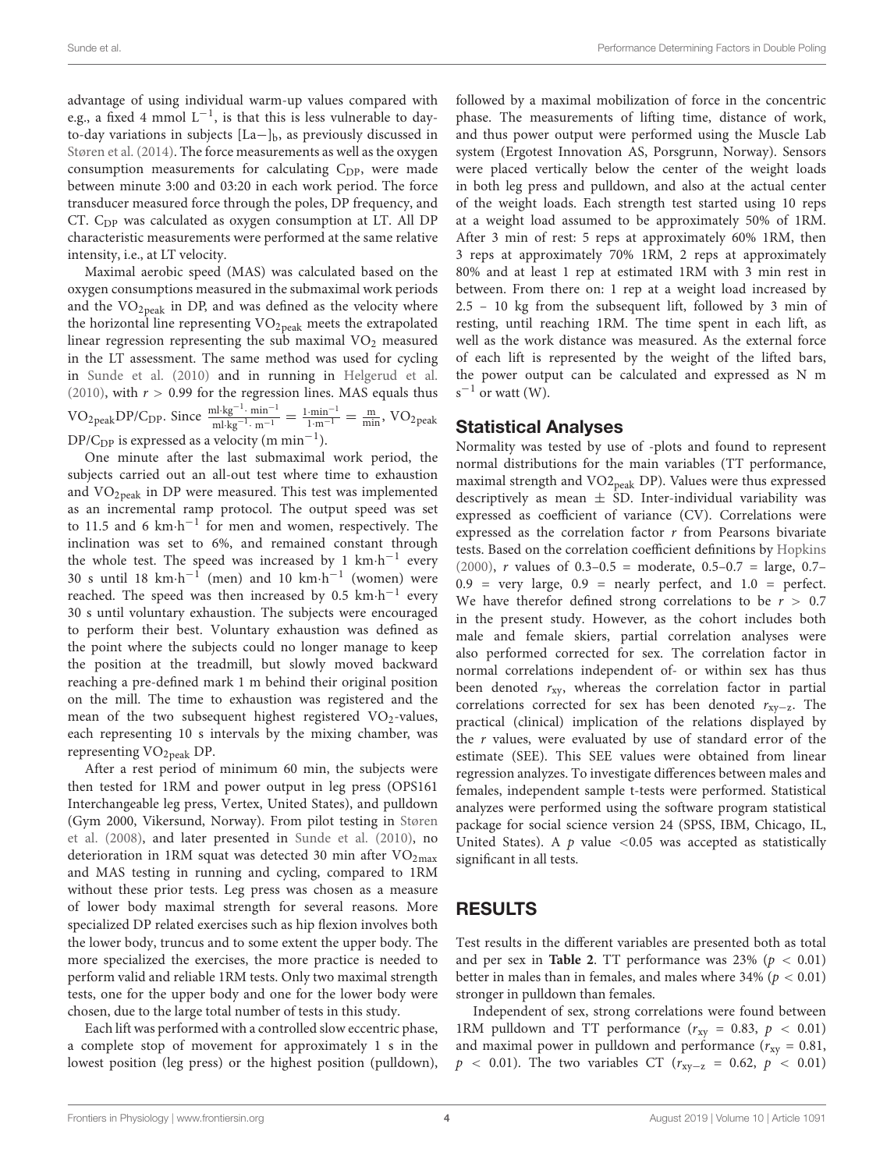advantage of using individual warm-up values compared with e.g., a fixed 4 mmol  $L^{-1}$ , is that this is less vulnerable to dayto-day variations in subjects  $[La-]_b$ , as previously discussed in [Støren et al.](#page-10-1) [\(2014\)](#page-10-1). The force measurements as well as the oxygen consumption measurements for calculating  $C_{\text{DP}}$ , were made between minute 3:00 and 03:20 in each work period. The force transducer measured force through the poles, DP frequency, and CT. C<sub>DP</sub> was calculated as oxygen consumption at LT. All DP characteristic measurements were performed at the same relative intensity, i.e., at LT velocity.

Maximal aerobic speed (MAS) was calculated based on the oxygen consumptions measured in the submaximal work periods and the  $VO<sub>2peak</sub>$  in DP, and was defined as the velocity where the horizontal line representing  $VO<sub>2peak</sub>$  meets the extrapolated linear regression representing the sub maximal  $VO<sub>2</sub>$  measured in the LT assessment. The same method was used for cycling in [Sunde et al.](#page-10-3) [\(2010\)](#page-10-3) and in running in [Helgerud et al.](#page-9-26) [\(2010\)](#page-9-26), with  $r > 0.99$  for the regression lines. MAS equals thus VO<sub>2peak</sub>DP/C<sub>DP</sub>. Since  $\frac{m! \cdot kg^{-1} \cdot min^{-1}}{m! \cdot kg^{-1} \cdot m^{-1}}$  $\frac{\text{ml·kg}^{-1} \cdot \text{min}^{-1}}{\text{ml·kg}^{-1} \cdot \text{m}^{-1}} = \frac{1 \cdot \text{min}^{-1}}{1 \cdot \text{m}^{-1}} = \frac{\text{m}}{\text{min}}$ , VO<sub>2 peak</sub> DP/C<sub>DP</sub> is expressed as a velocity (m min<sup>-1</sup>).

One minute after the last submaximal work period, the subjects carried out an all-out test where time to exhaustion and  $VO<sub>2peak</sub>$  in DP were measured. This test was implemented as an incremental ramp protocol. The output speed was set to 11.5 and 6 km⋅h<sup>-1</sup> for men and women, respectively. The inclination was set to 6%, and remained constant through the whole test. The speed was increased by 1  $km \cdot h^{-1}$  every 30 s until 18  $km \cdot h^{-1}$  (men) and 10  $km \cdot h^{-1}$  (women) were reached. The speed was then increased by  $0.5 \text{ km} \cdot \text{h}^{-1}$  every 30 s until voluntary exhaustion. The subjects were encouraged to perform their best. Voluntary exhaustion was defined as the point where the subjects could no longer manage to keep the position at the treadmill, but slowly moved backward reaching a pre-defined mark 1 m behind their original position on the mill. The time to exhaustion was registered and the mean of the two subsequent highest registered  $VO<sub>2</sub>$ -values, each representing 10 s intervals by the mixing chamber, was representing VO<sub>2peak</sub> DP.

After a rest period of minimum 60 min, the subjects were then tested for 1RM and power output in leg press (OPS161 Interchangeable leg press, Vertex, United States), and pulldown (Gym 2000, Vikersund, Norway). From pilot testing in [Støren](#page-10-9) [et al.](#page-10-9) [\(2008\)](#page-10-9), and later presented in [Sunde et al.](#page-10-3) [\(2010\)](#page-10-3), no deterioration in 1RM squat was detected 30 min after  $VO<sub>2max</sub>$ </sub> and MAS testing in running and cycling, compared to 1RM without these prior tests. Leg press was chosen as a measure of lower body maximal strength for several reasons. More specialized DP related exercises such as hip flexion involves both the lower body, truncus and to some extent the upper body. The more specialized the exercises, the more practice is needed to perform valid and reliable 1RM tests. Only two maximal strength tests, one for the upper body and one for the lower body were chosen, due to the large total number of tests in this study.

Each lift was performed with a controlled slow eccentric phase, a complete stop of movement for approximately 1 s in the lowest position (leg press) or the highest position (pulldown), followed by a maximal mobilization of force in the concentric phase. The measurements of lifting time, distance of work, and thus power output were performed using the Muscle Lab system (Ergotest Innovation AS, Porsgrunn, Norway). Sensors were placed vertically below the center of the weight loads in both leg press and pulldown, and also at the actual center of the weight loads. Each strength test started using 10 reps at a weight load assumed to be approximately 50% of 1RM. After 3 min of rest: 5 reps at approximately 60% 1RM, then 3 reps at approximately 70% 1RM, 2 reps at approximately 80% and at least 1 rep at estimated 1RM with 3 min rest in between. From there on: 1 rep at a weight load increased by 2.5 – 10 kg from the subsequent lift, followed by 3 min of resting, until reaching 1RM. The time spent in each lift, as well as the work distance was measured. As the external force of each lift is represented by the weight of the lifted bars, the power output can be calculated and expressed as N m  $s^{-1}$  or watt (W).

### Statistical Analyses

Normality was tested by use of -plots and found to represent normal distributions for the main variables (TT performance, maximal strength and VO2<sub>peak</sub> DP). Values were thus expressed descriptively as mean  $\pm$  SD. Inter-individual variability was expressed as coefficient of variance (CV). Correlations were expressed as the correlation factor  $r$  from Pearsons bivariate tests. Based on the correlation coefficient definitions by [Hopkins](#page-9-27) [\(2000\)](#page-9-27), *r* values of  $0.3-0.5$  = moderate,  $0.5-0.7$  = large,  $0.7 0.9$  = very large,  $0.9$  = nearly perfect, and  $1.0$  = perfect. We have therefor defined strong correlations to be  $r > 0.7$ in the present study. However, as the cohort includes both male and female skiers, partial correlation analyses were also performed corrected for sex. The correlation factor in normal correlations independent of- or within sex has thus been denoted  $r_{xy}$ , whereas the correlation factor in partial correlations corrected for sex has been denoted  $r_{xy-z}$ . The practical (clinical) implication of the relations displayed by the  $r$  values, were evaluated by use of standard error of the estimate (SEE). This SEE values were obtained from linear regression analyzes. To investigate differences between males and females, independent sample t-tests were performed. Statistical analyzes were performed using the software program statistical package for social science version 24 (SPSS, IBM, Chicago, IL, United States). A  $p$  value <0.05 was accepted as statistically significant in all tests.

# RESULTS

Test results in the different variables are presented both as total and per sex in **[Table 2](#page-4-0)**. TT performance was  $23\%$  ( $p < 0.01$ ) better in males than in females, and males where  $34\%$  ( $p < 0.01$ ) stronger in pulldown than females.

Independent of sex, strong correlations were found between 1RM pulldown and TT performance  $(r_{xy} = 0.83, p < 0.01)$ and maximal power in pulldown and performance ( $r_{xy} = 0.81$ ,  $p \sim 0.01$ ). The two variables CT ( $r_{xy-z} = 0.62$ ,  $p \sim 0.01$ )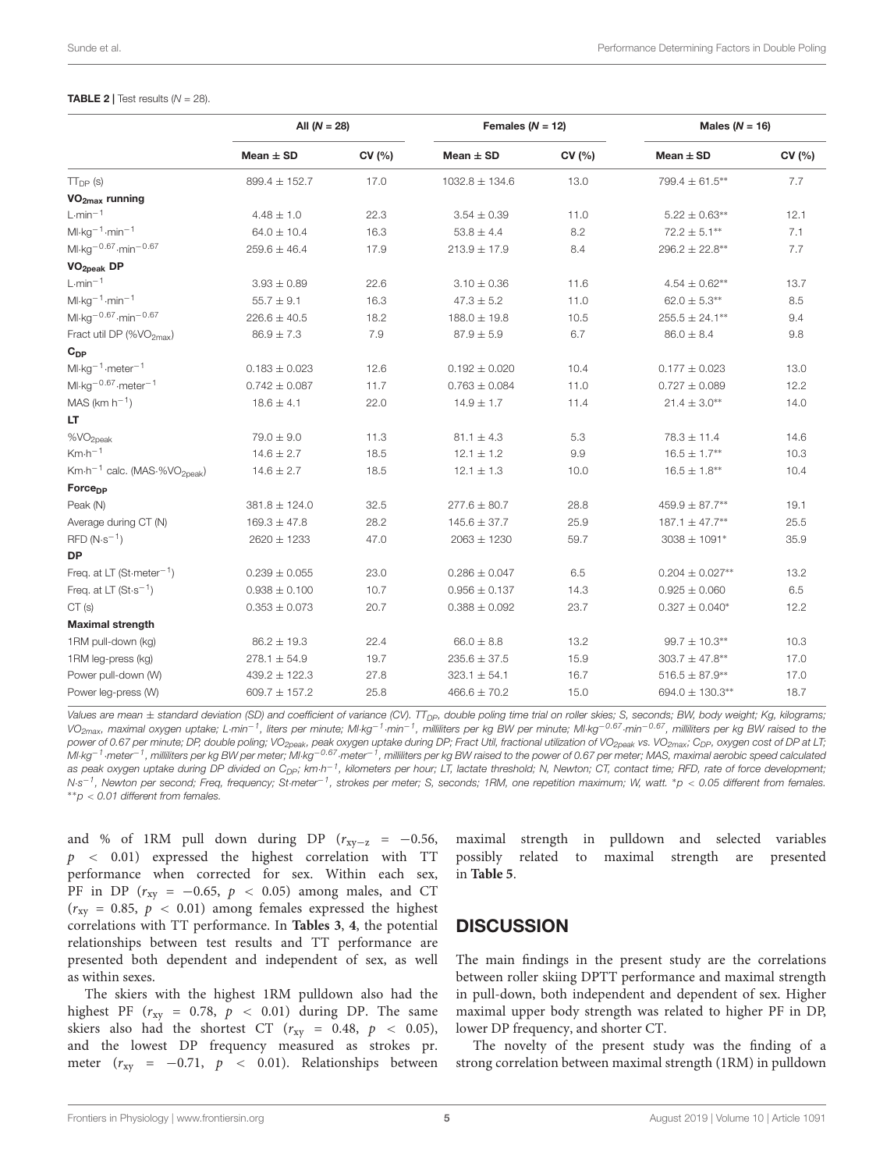#### <span id="page-4-0"></span>**TABLE 2** | Test results  $(N = 28)$ .

|                                                                      | All $(N = 28)$    |        | Females $(N = 12)$ |        | Males ( $N = 16$ )    |        |
|----------------------------------------------------------------------|-------------------|--------|--------------------|--------|-----------------------|--------|
|                                                                      | Mean $\pm$ SD     | CV (%) | Mean $\pm$ SD      | CV (%) | Mean $\pm$ SD         | CV (%) |
| $TT_{DP}$ (s)                                                        | $899.4 \pm 152.7$ | 17.0   | $1032.8 \pm 134.6$ | 13.0   | 799.4 ± 61.5**        | 7.7    |
| VO <sub>2max</sub> running                                           |                   |        |                    |        |                       |        |
| $L·min-1$                                                            | $4.48 \pm 1.0$    | 22.3   | $3.54 \pm 0.39$    | 11.0   | $5.22 \pm 0.63**$     | 12.1   |
| $Ml \cdot kg^{-1} \cdot min^{-1}$                                    | $64.0 \pm 10.4$   | 16.3   | $53.8 \pm 4.4$     | 8.2    | $72.2 \pm 5.1***$     | 7.1    |
| $Ml·kg-0.67·min-0.67$                                                | $259.6 \pm 46.4$  | 17.9   | $213.9 \pm 17.9$   | 8.4    | $296.2 \pm 22.8^{**}$ | 7.7    |
| VO <sub>2peak</sub> DP                                               |                   |        |                    |        |                       |        |
| $L·min-1$                                                            | $3.93 \pm 0.89$   | 22.6   | $3.10 \pm 0.36$    | 11.6   | $4.54 \pm 0.62**$     | 13.7   |
| $Ml \cdot kg^{-1} \cdot min^{-1}$                                    | $55.7 \pm 9.1$    | 16.3   | $47.3 \pm 5.2$     | 11.0   | $62.0 \pm 5.3**$      | 8.5    |
| Ml $\cdot$ kg <sup>-0.67</sup> $\cdot$ min <sup>-0.67</sup>          | $226.6 \pm 40.5$  | 18.2   | $188.0 \pm 19.8$   | 10.5   | $255.5 \pm 24.1***$   | 9.4    |
| Fract util DP (%VO <sub>2max</sub> )                                 | $86.9 \pm 7.3$    | 7.9    | $87.9 \pm 5.9$     | 6.7    | $86.0 \pm 8.4$        | 9.8    |
| $C_{DP}$                                                             |                   |        |                    |        |                       |        |
| $M·kg-1·meter-1$                                                     | $0.183 \pm 0.023$ | 12.6   | $0.192 \pm 0.020$  | 10.4   | $0.177 \pm 0.023$     | 13.0   |
| $Ml·kg-0.67·meter-1$                                                 | $0.742 \pm 0.087$ | 11.7   | $0.763 \pm 0.084$  | 11.0   | $0.727 \pm 0.089$     | 12.2   |
| $MAS (km h-1)$                                                       | $18.6 \pm 4.1$    | 22.0   | $14.9 \pm 1.7$     | 11.4   | $21.4 \pm 3.0^{**}$   | 14.0   |
| LT                                                                   |                   |        |                    |        |                       |        |
| %VO <sub>2peak</sub>                                                 | $79.0 \pm 9.0$    | 11.3   | $81.1 \pm 4.3$     | 5.3    | $78.3 \pm 11.4$       | 14.6   |
| $Km\cdot h^{-1}$                                                     | $14.6 \pm 2.7$    | 18.5   | $12.1 \pm 1.2$     | 9.9    | $16.5 \pm 1.7**$      | 10.3   |
| Km $\cdot$ h <sup>-1</sup> calc. (MAS $\cdot$ %VO <sub>2peak</sub> ) | $14.6 \pm 2.7$    | 18.5   | $12.1 \pm 1.3$     | 10.0   | $16.5 \pm 1.8***$     | 10.4   |
| Force <sub>DP</sub>                                                  |                   |        |                    |        |                       |        |
| Peak (N)                                                             | $381.8 \pm 124.0$ | 32.5   | $277.6 \pm 80.7$   | 28.8   | $459.9 \pm 87.7^{**}$ | 19.1   |
| Average during CT (N)                                                | $169.3 \pm 47.8$  | 28.2   | $145.6 \pm 37.7$   | 25.9   | 187.1 $\pm$ 47.7**    | 25.5   |
| $RFD (N·s-1)$                                                        | 2620 ± 1233       | 47.0   | $2063 \pm 1230$    | 59.7   | $3038 \pm 1091*$      | 35.9   |
| <b>DP</b>                                                            |                   |        |                    |        |                       |        |
| Freq. at LT (St-meter <sup>-1</sup> )                                | $0.239 \pm 0.055$ | 23.0   | $0.286 \pm 0.047$  | 6.5    | $0.204 \pm 0.027**$   | 13.2   |
| Freq. at LT $(St \cdot s^{-1})$                                      | $0.938 \pm 0.100$ | 10.7   | $0.956 \pm 0.137$  | 14.3   | $0.925 \pm 0.060$     | 6.5    |
| CT(s)                                                                | $0.353 \pm 0.073$ | 20.7   | $0.388 \pm 0.092$  | 23.7   | $0.327 \pm 0.040*$    | 12.2   |
| <b>Maximal strength</b>                                              |                   |        |                    |        |                       |        |
| 1RM pull-down (kg)                                                   | $86.2 \pm 19.3$   | 22.4   | $66.0 \pm 8.8$     | 13.2   | $99.7 \pm 10.3***$    | 10.3   |
| 1RM leg-press (kg)                                                   | $278.1 \pm 54.9$  | 19.7   | $235.6 \pm 37.5$   | 15.9   | $303.7 \pm 47.8***$   | 17.0   |
| Power pull-down (W)                                                  | $439.2 \pm 122.3$ | 27.8   | $323.1 \pm 54.1$   | 16.7   | $516.5 \pm 87.9^{**}$ | 17.0   |
| Power leg-press (W)                                                  | $609.7 \pm 157.2$ | 25.8   | $466.6 \pm 70.2$   | 15.0   | 694.0 ± 130.3**       | 18.7   |

Values are mean  $\pm$  standard deviation (SD) and coefficient of variance (CV).  $TT_{DP}$ , double poling time trial on roller skies; S, seconds; BW, body weight; Kg, kilograms; VO<sub>2max</sub>, maximal oxygen uptake; L·min<sup>−1</sup>, liters per minute; Ml·kg<sup>−1</sup>·min<sup>−1</sup>, milliliters per kg BW per minute; Ml·kg<sup>−0.67</sup>·min<sup>−0.67</sup>, milliliters per kg BW raised to the power of 0.67 per minute; DP, double poling; VO<sub>2peak</sub>, peak oxygen uptake during DP; Fract Util, fractional utilization of VO<sub>2peak</sub> vs. VO<sub>2max</sub>; C<sub>DP</sub>, oxygen cost of DP at LT; Ml·kg<sup>−1</sup>·meter<sup>−1</sup>, milliliters per kg BW per meter; Ml·kg<sup>−0.67</sup>·meter<sup>−1</sup>, milliliters per kg BW raised to the power of 0.67 per meter; MAS, maximal aerobic speed calculated as peak oxygen uptake during DP divided on C<sub>DP</sub>; km·h<sup>−1</sup>, kilometers per hour; LT, lactate threshold; N, Newton; CT, contact time; RFD, rate of force development; N·s<sup>−1</sup>, Newton per second; Freq, frequency; St·meter<sup>−1</sup>, strokes per meter; S, seconds; 1RM, one repetition maximum; W, watt. \*p < 0.05 different from females. ∗∗p < 0.01 different from females.

and % of 1RM pull down during DP ( $r_{xy-z}$  = −0.56,  $p \sim 0.01$ ) expressed the highest correlation with TT performance when corrected for sex. Within each sex, PF in DP ( $r_{xy}$  = -0.65,  $p$  < 0.05) among males, and CT  $(r_{xy} = 0.85, p < 0.01)$  among females expressed the highest correlations with TT performance. In **[Tables 3](#page-5-0)**, **[4](#page-6-0)**, the potential relationships between test results and TT performance are presented both dependent and independent of sex, as well as within sexes.

The skiers with the highest 1RM pulldown also had the highest PF ( $r_{xy}$  = 0.78,  $p$  < 0.01) during DP. The same skiers also had the shortest CT ( $r_{xy}$  = 0.48,  $p$  < 0.05), and the lowest DP frequency measured as strokes pr. meter ( $r_{xy}$  = −0.71,  $p$  < 0.01). Relationships between

maximal strength in pulldown and selected variables possibly related to maximal strength are presented in **[Table 5](#page-7-0)**.

### **DISCUSSION**

The main findings in the present study are the correlations between roller skiing DPTT performance and maximal strength in pull-down, both independent and dependent of sex. Higher maximal upper body strength was related to higher PF in DP, lower DP frequency, and shorter CT.

The novelty of the present study was the finding of a strong correlation between maximal strength (1RM) in pulldown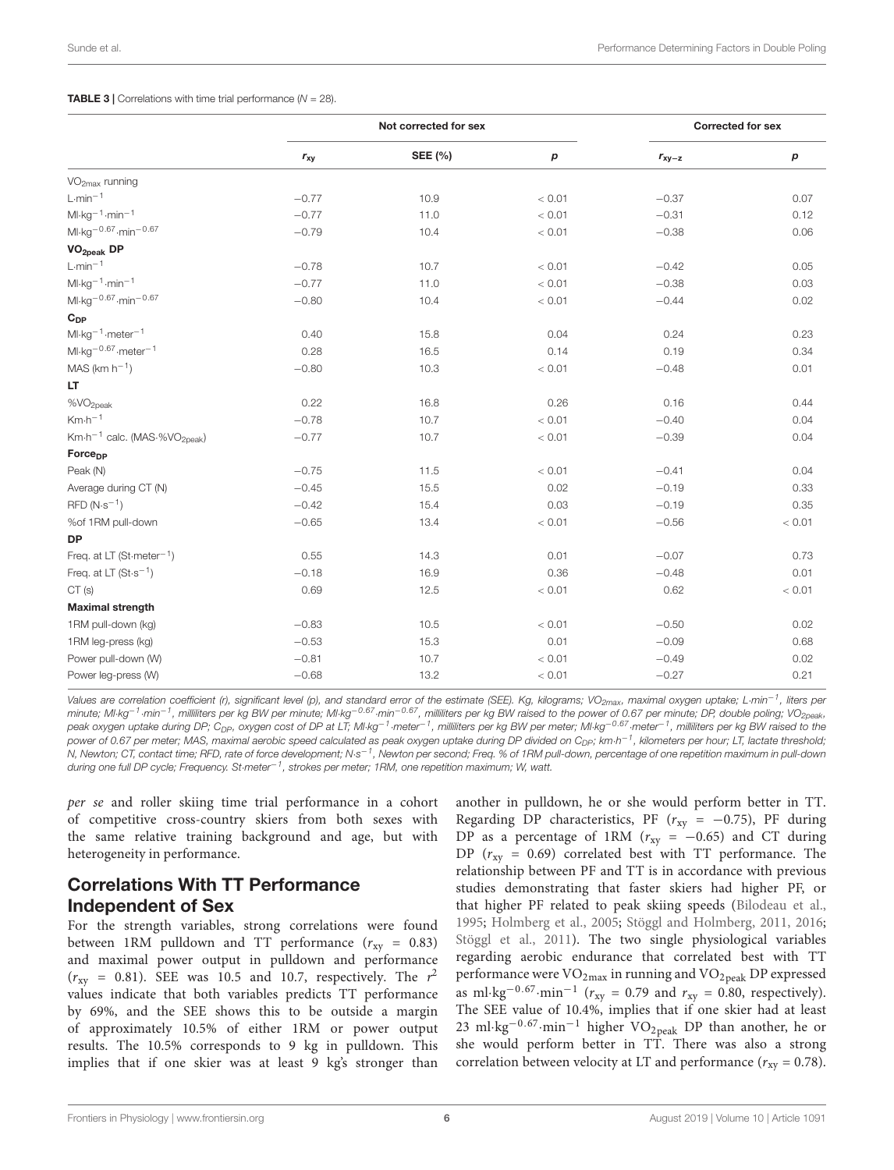#### <span id="page-5-0"></span>**TABLE 3 | Correlations with time trial performance (** $N = 28$ **).**

|                                                      | Not corrected for sex |         |        | <b>Corrected for sex</b> |        |
|------------------------------------------------------|-----------------------|---------|--------|--------------------------|--------|
|                                                      | $r_{xy}$              | SEE (%) | р      | $r_{xy-z}$               | p      |
| VO <sub>2max</sub> running                           |                       |         |        |                          |        |
| $L \cdot min^{-1}$                                   | $-0.77$               | 10.9    | < 0.01 | $-0.37$                  | 0.07   |
| $Ml \cdot kg^{-1} \cdot min^{-1}$                    | $-0.77$               | 11.0    | < 0.01 | $-0.31$                  | 0.12   |
| $Ml \cdot kg^{-0.67} \cdot min^{-0.67}$              | $-0.79$               | 10.4    | < 0.01 | $-0.38$                  | 0.06   |
| VO <sub>2peak</sub> DP                               |                       |         |        |                          |        |
| $L \cdot min^{-1}$                                   | $-0.78$               | 10.7    | < 0.01 | $-0.42$                  | 0.05   |
| $Ml \cdot kg^{-1} \cdot min^{-1}$                    | $-0.77$               | 11.0    | < 0.01 | $-0.38$                  | 0.03   |
| $Ml·kg-0.67·min-0.67$                                | $-0.80$               | 10.4    | < 0.01 | $-0.44$                  | 0.02   |
| $C_{DP}$                                             |                       |         |        |                          |        |
| $Ml \cdot kg^{-1} \cdot meter^{-1}$                  | 0.40                  | 15.8    | 0.04   | 0.24                     | 0.23   |
| $Ml \cdot kg^{-0.67} \cdot meter^{-1}$               | 0.28                  | 16.5    | 0.14   | 0.19                     | 0.34   |
| $MAS (km h-1)$                                       | $-0.80$               | 10.3    | < 0.01 | $-0.48$                  | 0.01   |
| LT.                                                  |                       |         |        |                          |        |
| %VO <sub>2peak</sub>                                 | 0.22                  | 16.8    | 0.26   | 0.16                     | 0.44   |
| $Km\cdot h^{-1}$                                     | $-0.78$               | 10.7    | < 0.01 | $-0.40$                  | 0.04   |
| Km·h <sup>-1</sup> calc. (MAS·%VO <sub>2peak</sub> ) | $-0.77$               | 10.7    | < 0.01 | $-0.39$                  | 0.04   |
| Force <sub>DP</sub>                                  |                       |         |        |                          |        |
| Peak (N)                                             | $-0.75$               | 11.5    | < 0.01 | $-0.41$                  | 0.04   |
| Average during CT (N)                                | $-0.45$               | 15.5    | 0.02   | $-0.19$                  | 0.33   |
| $RFD (N·s-1)$                                        | $-0.42$               | 15.4    | 0.03   | $-0.19$                  | 0.35   |
| %of 1RM pull-down                                    | $-0.65$               | 13.4    | < 0.01 | $-0.56$                  | < 0.01 |
| <b>DP</b>                                            |                       |         |        |                          |        |
| Freq. at LT (St-meter <sup>-1</sup> )                | 0.55                  | 14.3    | 0.01   | $-0.07$                  | 0.73   |
| Freq. at LT $(St \cdot s^{-1})$                      | $-0.18$               | 16.9    | 0.36   | $-0.48$                  | 0.01   |
| CT(s)                                                | 0.69                  | 12.5    | < 0.01 | 0.62                     | < 0.01 |
| <b>Maximal strength</b>                              |                       |         |        |                          |        |
| 1RM pull-down (kg)                                   | $-0.83$               | 10.5    | < 0.01 | $-0.50$                  | 0.02   |
| 1RM leg-press (kg)                                   | $-0.53$               | 15.3    | 0.01   | $-0.09$                  | 0.68   |
| Power pull-down (W)                                  | $-0.81$               | 10.7    | < 0.01 | $-0.49$                  | 0.02   |
| Power leg-press (W)                                  | $-0.68$               | 13.2    | < 0.01 | $-0.27$                  | 0.21   |

Values are correlation coefficient (r), significant level (p), and standard error of the estimate (SEE). Kg, kilograms; VO<sub>2max</sub>, maximal oxygen uptake; L·min<sup>-1</sup>, liters per minute; Ml·kg<sup>−1</sup>·min<sup>−1</sup>, milliliters per kg BW per minute; Ml·kg<sup>−0.67</sup>·min<sup>−0.67</sup>, milliliters per kg BW raised to the power of 0.67 per minute; DP, double poling; VO<sub>2peak</sub>, peak oxygen uptake during DP; C<sub>DP</sub>, oxygen cost of DP at LT; Ml·kg<sup>−1</sup>·meter<sup>−1</sup>, milliliters per kg BW per meter; Ml·kg<sup>−0.67</sup>·meter<sup>−1</sup>, milliliters per kg BW raised to the power of 0.67 per meter; MAS, maximal aerobic speed calculated as peak oxygen uptake during DP divided on C<sub>DP</sub>; km·h<sup>-1</sup>, kilometers per hour; LT, lactate threshold; N, Newton; CT, contact time; RFD, rate of force development; N·s<sup>−1</sup>, Newton per second; Freq. % of 1RM pull-down, percentage of one repetition maximum in pull-down during one full DP cycle; Frequency. St·meter−<sup>1</sup> , strokes per meter; 1RM, one repetition maximum; W, watt.

per se and roller skiing time trial performance in a cohort of competitive cross-country skiers from both sexes with the same relative training background and age, but with heterogeneity in performance.

# Correlations With TT Performance Independent of Sex

For the strength variables, strong correlations were found between 1RM pulldown and TT performance  $(r_{xy} = 0.83)$ and maximal power output in pulldown and performance  $(r_{xy} = 0.81)$ . SEE was 10.5 and 10.7, respectively. The  $r^2$ values indicate that both variables predicts TT performance by 69%, and the SEE shows this to be outside a margin of approximately 10.5% of either 1RM or power output results. The 10.5% corresponds to 9 kg in pulldown. This implies that if one skier was at least 9 kg's stronger than

another in pulldown, he or she would perform better in TT. Regarding DP characteristics, PF ( $r_{xy} = -0.75$ ), PF during DP as a percentage of 1RM ( $r_{xy} = -0.65$ ) and CT during DP ( $r_{xy}$  = 0.69) correlated best with TT performance. The relationship between PF and TT is in accordance with previous studies demonstrating that faster skiers had higher PF, or that higher PF related to peak skiing speeds [\(Bilodeau et al.,](#page-9-20) [1995;](#page-9-20) [Holmberg et al.,](#page-9-17) [2005;](#page-9-17) [Stöggl and Holmberg,](#page-10-16) [2011,](#page-10-16) [2016;](#page-10-17) [Stöggl et al.,](#page-10-13) [2011\)](#page-10-13). The two single physiological variables regarding aerobic endurance that correlated best with TT performance were  $\rm VO_{2max}$  in running and  $\rm VO_{2peak}$  DP expressed as ml·kg<sup>-0.67</sup>·min<sup>-1</sup> ( $r_{xy}$  = 0.79 and  $r_{xy}$  = 0.80, respectively). The SEE value of 10.4%, implies that if one skier had at least 23 ml⋅kg<sup>-0.67</sup>⋅min<sup>-1</sup> higher VO<sub>2peak</sub> DP than another, he or she would perform better in TT. There was also a strong correlation between velocity at LT and performance ( $r_{xy} = 0.78$ ).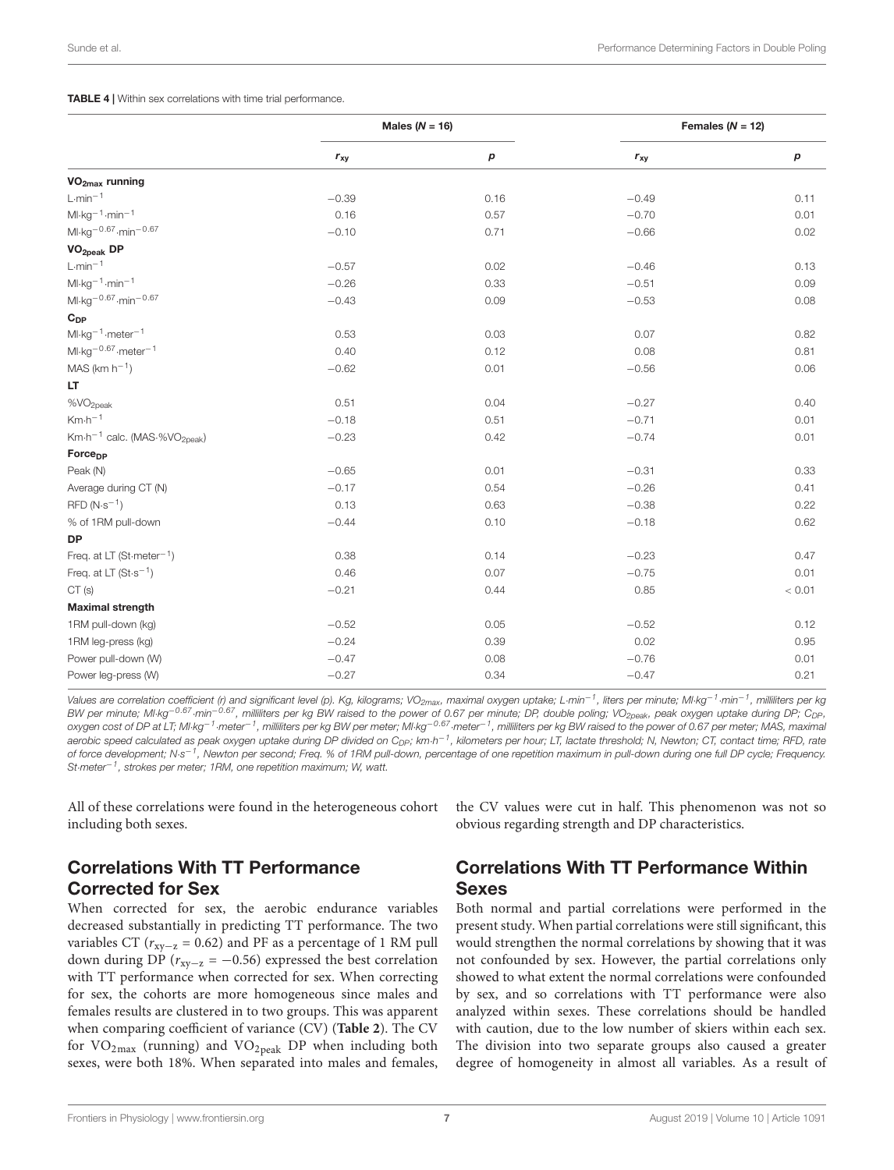#### <span id="page-6-0"></span>TABLE 4 | Within sex correlations with time trial performance.

|                                                      | Males ( $N = 16$ ) |                  |          | Females ( $N = 12$ ) |  |
|------------------------------------------------------|--------------------|------------------|----------|----------------------|--|
|                                                      | $r_{xy}$           | $\boldsymbol{p}$ | $r_{xy}$ | $\boldsymbol{p}$     |  |
| VO <sub>2max</sub> running                           |                    |                  |          |                      |  |
| $L \cdot min^{-1}$                                   | $-0.39$            | 0.16             | $-0.49$  | 0.11                 |  |
| $Ml·kg-1·min-1$                                      | 0.16               | 0.57             | $-0.70$  | 0.01                 |  |
| $Ml·kg-0.67·min-0.67$                                | $-0.10$            | 0.71             | $-0.66$  | 0.02                 |  |
| VO <sub>2peak</sub> DP                               |                    |                  |          |                      |  |
| $L \cdot min^{-1}$                                   | $-0.57$            | 0.02             | $-0.46$  | 0.13                 |  |
| $Ml \cdot kg^{-1} \cdot min^{-1}$                    | $-0.26$            | 0.33             | $-0.51$  | 0.09                 |  |
| $Ml·kg-0.67·min-0.67$                                | $-0.43$            | 0.09             | $-0.53$  | 0.08                 |  |
| $C_{DP}$                                             |                    |                  |          |                      |  |
| $Ml \cdot kg^{-1} \cdot meter^{-1}$                  | 0.53               | 0.03             | 0.07     | 0.82                 |  |
| $Ml·kg-0.67·meter-1$                                 | 0.40               | 0.12             | 0.08     | 0.81                 |  |
| $MAS$ (km h <sup>-1</sup> )                          | $-0.62$            | 0.01             | $-0.56$  | 0.06                 |  |
| LT                                                   |                    |                  |          |                      |  |
| %VO <sub>2peak</sub>                                 | 0.51               | 0.04             | $-0.27$  | 0.40                 |  |
| $Km\cdot h^{-1}$                                     | $-0.18$            | 0.51             | $-0.71$  | 0.01                 |  |
| Km·h <sup>-1</sup> calc. (MAS·%VO <sub>2peak</sub> ) | $-0.23$            | 0.42             | $-0.74$  | 0.01                 |  |
| Force <sub>DP</sub>                                  |                    |                  |          |                      |  |
| Peak (N)                                             | $-0.65$            | 0.01             | $-0.31$  | 0.33                 |  |
| Average during CT (N)                                | $-0.17$            | 0.54             | $-0.26$  | 0.41                 |  |
| $RFD (N·s-1)$                                        | 0.13               | 0.63             | $-0.38$  | 0.22                 |  |
| % of 1RM pull-down                                   | $-0.44$            | 0.10             | $-0.18$  | 0.62                 |  |
| <b>DP</b>                                            |                    |                  |          |                      |  |
| Freq. at LT (St-meter <sup>-1</sup> )                | 0.38               | 0.14             | $-0.23$  | 0.47                 |  |
| Freq. at LT $(St \cdot s^{-1})$                      | 0.46               | 0.07             | $-0.75$  | 0.01                 |  |
| CT(s)                                                | $-0.21$            | 0.44             | 0.85     | < 0.01               |  |
| <b>Maximal strength</b>                              |                    |                  |          |                      |  |
| 1RM pull-down (kg)                                   | $-0.52$            | 0.05             | $-0.52$  | 0.12                 |  |
| 1RM leg-press (kg)                                   | $-0.24$            | 0.39             | 0.02     | 0.95                 |  |
| Power pull-down (W)                                  | $-0.47$            | 0.08             | $-0.76$  | 0.01                 |  |
| Power leg-press (W)                                  | $-0.27$            | 0.34             | $-0.47$  | 0.21                 |  |

Values are correlation coefficient (r) and significant level (p). Kg, kilograms; VO<sub>2max</sub>, maximal oxygen uptake; L·min<sup>−1</sup>, liters per minute; Ml·kg<sup>−1</sup>·min<sup>−1</sup>, milliliters per kg BW per minute; Ml·kg<sup>−0.67</sup>·min<sup>−0.67</sup>, milliliters per kg BW raised to the power of 0.67 per minute; DP, double poling; VO<sub>2peak</sub>, peak oxygen uptake during DP; C<sub>DP</sub>, oxygen cost of DP at LT; Ml·kg<sup>−1</sup>·meter<sup>−1</sup>, milliliters per kg BW per meter; Ml·kg<sup>−0.67</sup>·meter<sup>−1</sup>, milliliters per kg BW raised to the power of 0.67 per meter; MAS, maximal aerobic speed calculated as peak oxygen uptake during DP divided on C<sub>DP</sub>; km·h<sup>-1</sup>, kilometers per hour; LT, lactate threshold; N, Newton; CT, contact time; RFD, rate of force development; N·s<sup>-1</sup>, Newton per second; Freq. % of 1RM pull-down, percentage of one repetition maximum in pull-down during one full DP cycle; Frequency. St·meter−<sup>1</sup> , strokes per meter; 1RM, one repetition maximum; W, watt.

All of these correlations were found in the heterogeneous cohort including both sexes.

# Correlations With TT Performance Corrected for Sex

When corrected for sex, the aerobic endurance variables decreased substantially in predicting TT performance. The two variables CT ( $r_{\text{xy}-z}$  = 0.62) and PF as a percentage of 1 RM pull down during DP ( $r_{xy-z} = -0.56$ ) expressed the best correlation with TT performance when corrected for sex. When correcting for sex, the cohorts are more homogeneous since males and females results are clustered in to two groups. This was apparent when comparing coefficient of variance (CV) (**[Table 2](#page-4-0)**). The CV for  $VO<sub>2max</sub>$  (running) and  $VO<sub>2peak</sub>$  DP when including both sexes, were both 18%. When separated into males and females,

the CV values were cut in half. This phenomenon was not so obvious regarding strength and DP characteristics.

# Correlations With TT Performance Within Sexes

Both normal and partial correlations were performed in the present study. When partial correlations were still significant, this would strengthen the normal correlations by showing that it was not confounded by sex. However, the partial correlations only showed to what extent the normal correlations were confounded by sex, and so correlations with TT performance were also analyzed within sexes. These correlations should be handled with caution, due to the low number of skiers within each sex. The division into two separate groups also caused a greater degree of homogeneity in almost all variables. As a result of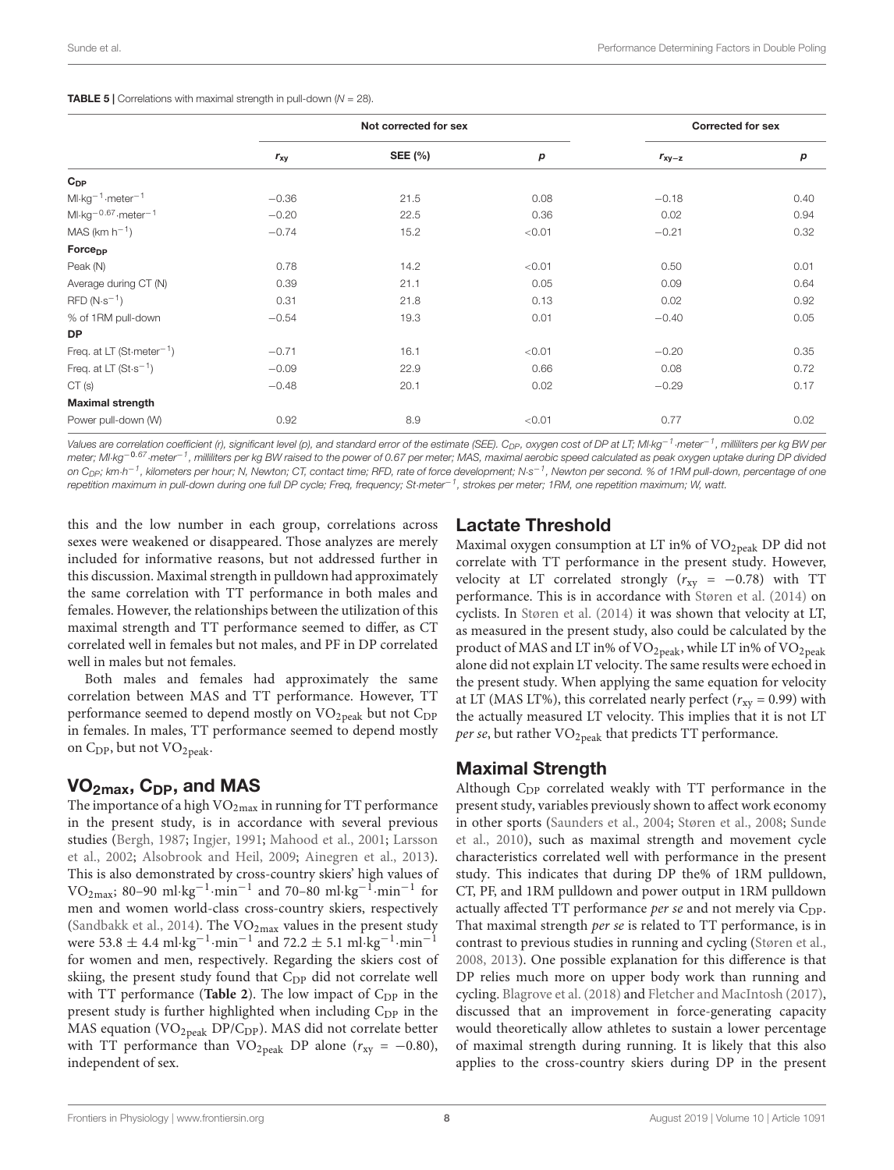<span id="page-7-0"></span>

|                                       | Not corrected for sex |                |        | <b>Corrected for sex</b> |      |
|---------------------------------------|-----------------------|----------------|--------|--------------------------|------|
|                                       | $r_{xy}$              | <b>SEE (%)</b> | р      | $r_{xy-z}$               | р    |
| $C_{DP}$                              |                       |                |        |                          |      |
| $Ml \cdot kg^{-1} \cdot meter^{-1}$   | $-0.36$               | 21.5           | 0.08   | $-0.18$                  | 0.40 |
| $Ml·kg-0.67·meter-1$                  | $-0.20$               | 22.5           | 0.36   | 0.02                     | 0.94 |
| $MAS$ (km $h^{-1}$ )                  | $-0.74$               | 15.2           | < 0.01 | $-0.21$                  | 0.32 |
| Force <sub>pp</sub>                   |                       |                |        |                          |      |
| Peak (N)                              | 0.78                  | 14.2           | < 0.01 | 0.50                     | 0.01 |
| Average during CT (N)                 | 0.39                  | 21.1           | 0.05   | 0.09                     | 0.64 |
| $RFD(N·s-1)$                          | 0.31                  | 21.8           | 0.13   | 0.02                     | 0.92 |
| % of 1RM pull-down                    | $-0.54$               | 19.3           | 0.01   | $-0.40$                  | 0.05 |
| <b>DP</b>                             |                       |                |        |                          |      |
| Freq. at LT (St-meter <sup>-1</sup> ) | $-0.71$               | 16.1           | < 0.01 | $-0.20$                  | 0.35 |
| Freq. at LT $(St \cdot s^{-1})$       | $-0.09$               | 22.9           | 0.66   | 0.08                     | 0.72 |
| CT(s)                                 | $-0.48$               | 20.1           | 0.02   | $-0.29$                  | 0.17 |
| <b>Maximal strength</b>               |                       |                |        |                          |      |
| Power pull-down (W)                   | 0.92                  | 8.9            | < 0.01 | 0.77                     | 0.02 |

Values are correlation coefficient (r), significant level (p), and standard error of the estimate (SEE). C<sub>DP</sub>, oxygen cost of DP at LT; Ml·kg<sup>−1</sup>·meter<sup>−1</sup>, millilters per kg BW per meter; Ml·kg<sup>−0.67</sup>·meter<sup>−1</sup>, milliliters per kg BW raised to the power of 0.67 per meter; MAS, maximal aerobic speed calculated as peak oxygen uptake during DP divideo on C<sub>DP</sub>; km·h<sup>–1</sup>, kilometers per hour; N, Newton; CT, contact time; RFD, rate of force development; N·s<sup>–1</sup>, Newton per second. % of 1RM pull-down, percentage of one repetition maximum in pull-down during one full DP cycle; Freq, frequency; St·meter−<sup>1</sup> , strokes per meter; 1RM, one repetition maximum; W, watt.

this and the low number in each group, correlations across sexes were weakened or disappeared. Those analyzes are merely included for informative reasons, but not addressed further in this discussion. Maximal strength in pulldown had approximately the same correlation with TT performance in both males and females. However, the relationships between the utilization of this maximal strength and TT performance seemed to differ, as CT correlated well in females but not males, and PF in DP correlated well in males but not females.

Both males and females had approximately the same correlation between MAS and TT performance. However, TT performance seemed to depend mostly on VO<sub>2peak</sub> but not C<sub>DP</sub> in females. In males, TT performance seemed to depend mostly on  $C_{\text{DP}}$ , but not  $\text{VO}_{\text{2peak}}$ .

#### $VO<sub>2max</sub>$ ,  $C<sub>DP</sub>$ , and MAS

The importance of a high  $VO<sub>2max</sub>$  in running for TT performance in the present study, is in accordance with several previous studies [\(Bergh,](#page-9-3) [1987;](#page-9-3) [Ingjer,](#page-9-4) [1991;](#page-9-4) [Mahood et al.,](#page-9-5) [2001;](#page-9-5) [Larsson](#page-9-6) [et al.,](#page-9-6) [2002;](#page-9-6) [Alsobrook and Heil,](#page-9-7) [2009;](#page-9-7) [Ainegren et al.,](#page-9-8) [2013\)](#page-9-8). This is also demonstrated by cross-country skiers' high values of VO<sub>2max</sub>; 80–90 ml·kg<sup>-1</sup>·min<sup>-1</sup> and 70–80 ml·kg<sup>-1</sup>·min<sup>-1</sup> for men and women world-class cross-country skiers, respectively [\(Sandbakk et al.,](#page-10-5) [2014\)](#page-10-5). The  $VO<sub>2max</sub>$  values in the present study were 53.8  $\pm$  4.4 ml·kg<sup>-1</sup>·min<sup>-1</sup> and 72.2  $\pm$  5.1 ml·kg<sup>-1</sup>·min<sup>-1</sup> for women and men, respectively. Regarding the skiers cost of skiing, the present study found that C<sub>DP</sub> did not correlate well with TT performance (**[Table 2](#page-4-0)**). The low impact of  $C_{DP}$  in the present study is further highlighted when including C<sub>DP</sub> in the MAS equation ( $VO<sub>2peak</sub> DP/C<sub>DP</sub>$ ). MAS did not correlate better with TT performance than VO<sub>2peak</sub> DP alone ( $r_{xy} = -0.80$ ), independent of sex.

#### Lactate Threshold

Maximal oxygen consumption at LT in% of  $\rm VO_{2peak}$  DP did not correlate with TT performance in the present study. However, velocity at LT correlated strongly ( $r_{xy} = -0.78$ ) with TT performance. This is in accordance with [Støren et al.](#page-10-1) [\(2014\)](#page-10-1) on cyclists. In [Støren et al.](#page-10-1) [\(2014\)](#page-10-1) it was shown that velocity at LT, as measured in the present study, also could be calculated by the product of MAS and LT in% of VO<sub>2peak</sub>, while LT in% of VO<sub>2peak</sub> alone did not explain LT velocity. The same results were echoed in the present study. When applying the same equation for velocity at LT (MAS LT%), this correlated nearly perfect ( $r_{xy}$  = 0.99) with the actually measured LT velocity. This implies that it is not LT *per se*, but rather  $VO<sub>2peak</sub>$  that predicts TT performance.

#### Maximal Strength

Although  $C_{DP}$  correlated weakly with TT performance in the present study, variables previously shown to affect work economy in other sports [\(Saunders et al.,](#page-10-21) [2004;](#page-10-21) [Støren et al.,](#page-10-9) [2008;](#page-10-9) [Sunde](#page-10-3) [et al.,](#page-10-3) [2010\)](#page-10-3), such as maximal strength and movement cycle characteristics correlated well with performance in the present study. This indicates that during DP the% of 1RM pulldown, CT, PF, and 1RM pulldown and power output in 1RM pulldown actually affected TT performance *per se* and not merely via  $C_{DP}$ . That maximal strength per se is related to TT performance, is in contrast to previous studies in running and cycling [\(Støren et al.,](#page-10-9) [2008,](#page-10-9) [2013\)](#page-10-10). One possible explanation for this difference is that DP relies much more on upper body work than running and cycling. [Blagrove et al.](#page-9-28) [\(2018\)](#page-9-28) and [Fletcher and MacIntosh](#page-9-29) [\(2017\)](#page-9-29), discussed that an improvement in force-generating capacity would theoretically allow athletes to sustain a lower percentage of maximal strength during running. It is likely that this also applies to the cross-country skiers during DP in the present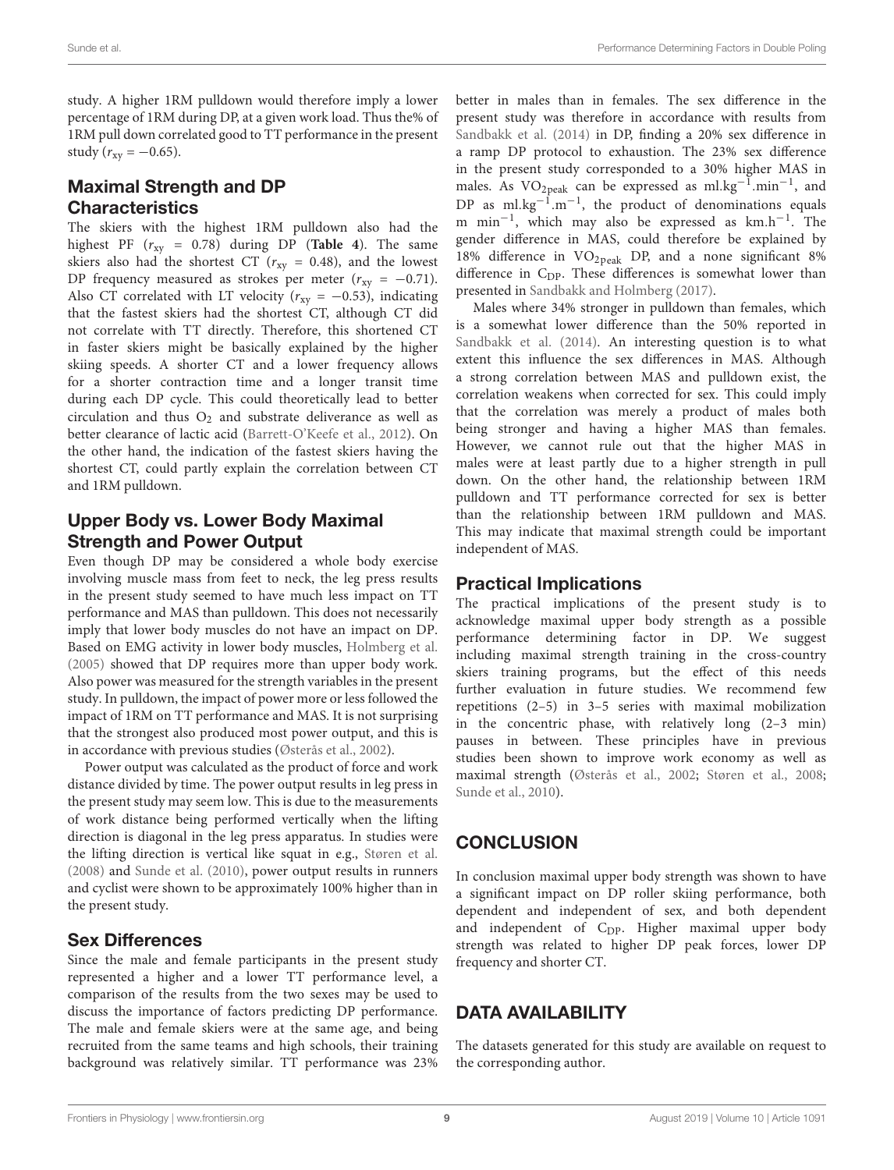study. A higher 1RM pulldown would therefore imply a lower percentage of 1RM during DP, at a given work load. Thus the% of 1RM pull down correlated good to TT performance in the present study ( $r_{xy} = -0.65$ ).

### Maximal Strength and DP **Characteristics**

The skiers with the highest 1RM pulldown also had the highest PF  $(r_{xy} = 0.78)$  during DP (**[Table 4](#page-6-0)**). The same skiers also had the shortest CT ( $r_{xy}$  = 0.48), and the lowest DP frequency measured as strokes per meter  $(r_{xy} = -0.71)$ . Also CT correlated with LT velocity ( $r_{xy} = -0.53$ ), indicating that the fastest skiers had the shortest CT, although CT did not correlate with TT directly. Therefore, this shortened CT in faster skiers might be basically explained by the higher skiing speeds. A shorter CT and a lower frequency allows for a shorter contraction time and a longer transit time during each DP cycle. This could theoretically lead to better circulation and thus  $O_2$  and substrate deliverance as well as better clearance of lactic acid [\(Barrett-O'Keefe et al.,](#page-9-30) [2012\)](#page-9-30). On the other hand, the indication of the fastest skiers having the shortest CT, could partly explain the correlation between CT and 1RM pulldown.

# Upper Body vs. Lower Body Maximal Strength and Power Output

Even though DP may be considered a whole body exercise involving muscle mass from feet to neck, the leg press results in the present study seemed to have much less impact on TT performance and MAS than pulldown. This does not necessarily imply that lower body muscles do not have an impact on DP. Based on EMG activity in lower body muscles, [Holmberg et al.](#page-9-17) [\(2005\)](#page-9-17) showed that DP requires more than upper body work. Also power was measured for the strength variables in the present study. In pulldown, the impact of power more or less followed the impact of 1RM on TT performance and MAS. It is not surprising that the strongest also produced most power output, and this is in accordance with previous studies [\(Østerås et al.,](#page-9-9) [2002\)](#page-9-9).

Power output was calculated as the product of force and work distance divided by time. The power output results in leg press in the present study may seem low. This is due to the measurements of work distance being performed vertically when the lifting direction is diagonal in the leg press apparatus. In studies were the lifting direction is vertical like squat in e.g., [Støren et al.](#page-10-9) [\(2008\)](#page-10-9) and [Sunde et al.](#page-10-3) [\(2010\)](#page-10-3), power output results in runners and cyclist were shown to be approximately 100% higher than in the present study.

### Sex Differences

Since the male and female participants in the present study represented a higher and a lower TT performance level, a comparison of the results from the two sexes may be used to discuss the importance of factors predicting DP performance. The male and female skiers were at the same age, and being recruited from the same teams and high schools, their training background was relatively similar. TT performance was 23%

better in males than in females. The sex difference in the present study was therefore in accordance with results from [Sandbakk et al.](#page-10-5) [\(2014\)](#page-10-5) in DP, finding a 20% sex difference in a ramp DP protocol to exhaustion. The 23% sex difference in the present study corresponded to a 30% higher MAS in males. As VO<sub>2peak</sub> can be expressed as ml.kg<sup>-1</sup>.min<sup>-1</sup>, and DP as ml.kg<sup>-1</sup>.m<sup>-1</sup>, the product of denominations equals m min<sup>-1</sup>, which may also be expressed as km.h<sup>-1</sup>. The gender difference in MAS, could therefore be explained by 18% difference in  $VO<sub>2peak</sub>$  DP, and a none significant 8% difference in C<sub>DP</sub>. These differences is somewhat lower than presented in [Sandbakk and Holmberg](#page-10-22) [\(2017\)](#page-10-22).

Males where 34% stronger in pulldown than females, which is a somewhat lower difference than the 50% reported in [Sandbakk et al.](#page-10-5) [\(2014\)](#page-10-5). An interesting question is to what extent this influence the sex differences in MAS. Although a strong correlation between MAS and pulldown exist, the correlation weakens when corrected for sex. This could imply that the correlation was merely a product of males both being stronger and having a higher MAS than females. However, we cannot rule out that the higher MAS in males were at least partly due to a higher strength in pull down. On the other hand, the relationship between 1RM pulldown and TT performance corrected for sex is better than the relationship between 1RM pulldown and MAS. This may indicate that maximal strength could be important independent of MAS.

### Practical Implications

The practical implications of the present study is to acknowledge maximal upper body strength as a possible performance determining factor in DP. We suggest including maximal strength training in the cross-country skiers training programs, but the effect of this needs further evaluation in future studies. We recommend few repetitions (2–5) in 3–5 series with maximal mobilization in the concentric phase, with relatively long (2–3 min) pauses in between. These principles have in previous studies been shown to improve work economy as well as maximal strength [\(Østerås et al.,](#page-9-9) [2002;](#page-9-9) [Støren et al.,](#page-10-9) [2008;](#page-10-9) [Sunde et al.,](#page-10-3) [2010\)](#page-10-3).

# **CONCLUSION**

In conclusion maximal upper body strength was shown to have a significant impact on DP roller skiing performance, both dependent and independent of sex, and both dependent and independent of C<sub>DP</sub>. Higher maximal upper body strength was related to higher DP peak forces, lower DP frequency and shorter CT.

# DATA AVAILABILITY

The datasets generated for this study are available on request to the corresponding author.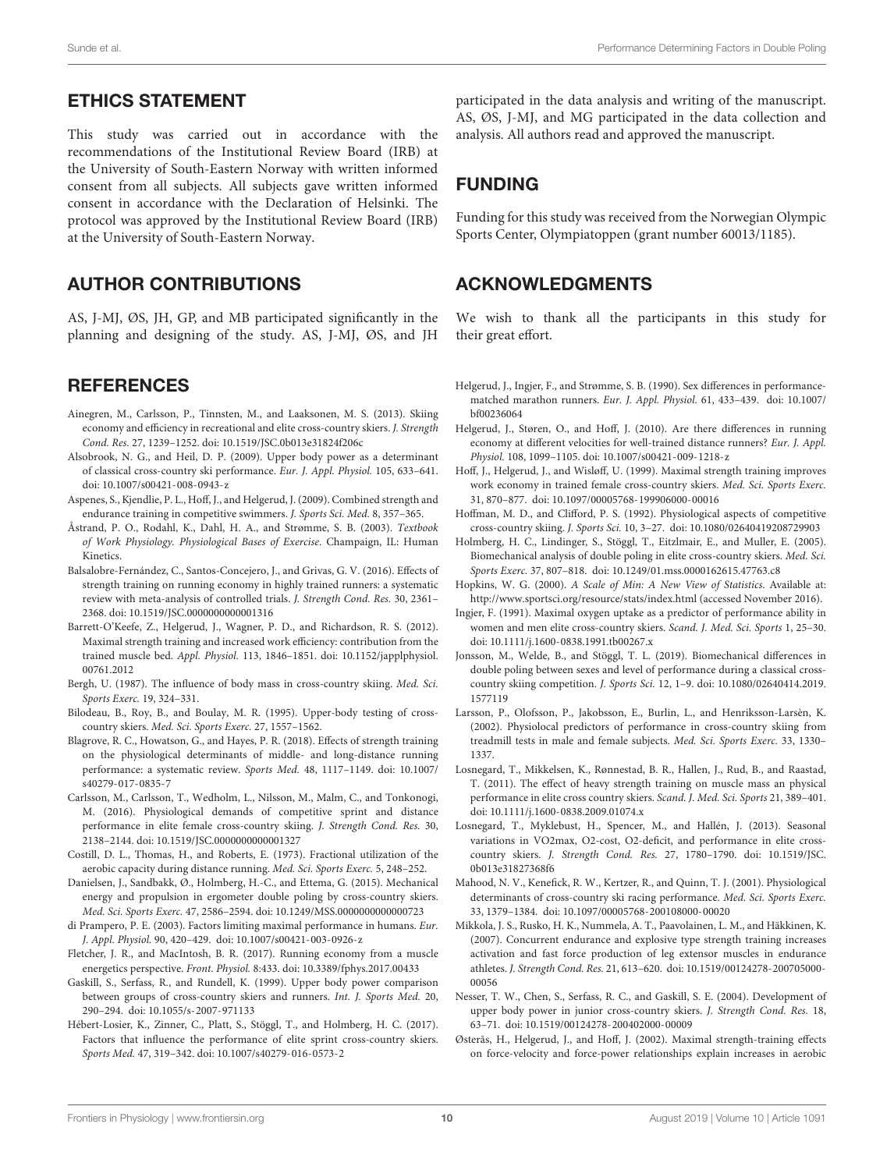### ETHICS STATEMENT

This study was carried out in accordance with the recommendations of the Institutional Review Board (IRB) at the University of South-Eastern Norway with written informed consent from all subjects. All subjects gave written informed consent in accordance with the Declaration of Helsinki. The protocol was approved by the Institutional Review Board (IRB) at the University of South-Eastern Norway.

# AUTHOR CONTRIBUTIONS

AS, J-MJ, ØS, JH, GP, and MB participated significantly in the planning and designing of the study. AS, J-MJ, ØS, and JH

### **REFERENCES**

- <span id="page-9-8"></span>Ainegren, M., Carlsson, P., Tinnsten, M., and Laaksonen, M. S. (2013). Skiing economy and efficiency in recreational and elite cross-country skiers. J. Strength Cond. Res. 27, 1239–1252. [doi: 10.1519/JSC.0b013e31824f206c](https://doi.org/10.1519/JSC.0b013e31824f206c)
- <span id="page-9-7"></span>Alsobrook, N. G., and Heil, D. P. (2009). Upper body power as a determinant of classical cross-country ski performance. Eur. J. Appl. Physiol. 105, 633–641. [doi: 10.1007/s00421-008-0943-z](https://doi.org/10.1007/s00421-008-0943-z)
- <span id="page-9-13"></span>Aspenes, S., Kjendlie, P. L., Hoff, J., and Helgerud, J. (2009). Combined strength and endurance training in competitive swimmers. J. Sports Sci. Med. 8, 357–365.
- <span id="page-9-24"></span>Åstrand, P. O., Rodahl, K., Dahl, H. A., and Strømme, S. B. (2003). Textbook of Work Physiology. Physiological Bases of Exercise. Champaign, IL: Human Kinetics.
- <span id="page-9-12"></span>Balsalobre-Fernández, C., Santos-Concejero, J., and Grivas, G. V. (2016). Effects of strength training on running economy in highly trained runners: a systematic review with meta-analysis of controlled trials. J. Strength Cond. Res. 30, 2361– 2368. [doi: 10.1519/JSC.0000000000001316](https://doi.org/10.1519/JSC.0000000000001316)
- <span id="page-9-30"></span>Barrett-O'Keefe, Z., Helgerud, J., Wagner, P. D., and Richardson, R. S. (2012). Maximal strength training and increased work efficiency: contribution from the trained muscle bed. Appl. Physiol. 113, 1846–1851. [doi: 10.1152/japplphysiol.](https://doi.org/10.1152/japplphysiol.00761.2012) [00761.2012](https://doi.org/10.1152/japplphysiol.00761.2012)
- <span id="page-9-3"></span>Bergh, U. (1987). The influence of body mass in cross-country skiing. Med. Sci. Sports Exerc. 19, 324–331.
- <span id="page-9-20"></span>Bilodeau, B., Roy, B., and Boulay, M. R. (1995). Upper-body testing of crosscountry skiers. Med. Sci. Sports Exerc. 27, 1557–1562.
- <span id="page-9-28"></span>Blagrove, R. C., Howatson, G., and Hayes, P. R. (2018). Effects of strength training on the physiological determinants of middle- and long-distance running performance: a systematic review. Sports Med. 48, 1117–1149. [doi: 10.1007/](https://doi.org/10.1007/s40279-017-0835-7) [s40279-017-0835-7](https://doi.org/10.1007/s40279-017-0835-7)
- <span id="page-9-16"></span>Carlsson, M., Carlsson, T., Wedholm, L., Nilsson, M., Malm, C., and Tonkonogi, M. (2016). Physiological demands of competitive sprint and distance performance in elite female cross-country skiing. J. Strength Cond. Res. 30, 2138–2144. [doi: 10.1519/JSC.0000000000001327](https://doi.org/10.1519/JSC.0000000000001327)
- <span id="page-9-1"></span>Costill, D. L., Thomas, H., and Roberts, E. (1973). Fractional utilization of the aerobic capacity during distance running. Med. Sci. Sports Exerc. 5, 248–252.
- <span id="page-9-21"></span>Danielsen, J., Sandbakk, Ø., Holmberg, H.-C., and Ettema, G. (2015). Mechanical energy and propulsion in ergometer double poling by cross-country skiers. Med. Sci. Sports Exerc. 47, 2586–2594. [doi: 10.1249/MSS.0000000000000723](https://doi.org/10.1249/MSS.0000000000000723)
- <span id="page-9-2"></span>di Prampero, P. E. (2003). Factors limiting maximal performance in humans. Eur. J. Appl. Physiol. 90, 420–429. [doi: 10.1007/s00421-003-0926-z](https://doi.org/10.1007/s00421-003-0926-z)
- <span id="page-9-29"></span>Fletcher, J. R., and MacIntosh, B. R. (2017). Running economy from a muscle energetics perspective. Front. Physiol. 8:433. [doi: 10.3389/fphys.2017.00433](https://doi.org/10.3389/fphys.2017.00433)
- <span id="page-9-14"></span>Gaskill, S., Serfass, R., and Rundell, K. (1999). Upper body power comparison between groups of cross-country skiers and runners. Int. J. Sports Med. 20, 290–294. [doi: 10.1055/s-2007-971133](https://doi.org/10.1055/s-2007-971133)
- <span id="page-9-0"></span>Hébert-Losier, K., Zinner, C., Platt, S., Stöggl, T., and Holmberg, H. C. (2017). Factors that influence the performance of elite sprint cross-country skiers. Sports Med. 47, 319–342. [doi: 10.1007/s40279-016-0573-2](https://doi.org/10.1007/s40279-016-0573-2)

participated in the data analysis and writing of the manuscript. AS, ØS, J-MJ, and MG participated in the data collection and analysis. All authors read and approved the manuscript.

# FUNDING

Funding for this study was received from the Norwegian Olympic Sports Center, Olympiatoppen (grant number 60013/1185).

# ACKNOWLEDGMENTS

We wish to thank all the participants in this study for their great effort.

- <span id="page-9-25"></span>Helgerud, J., Ingjer, F., and Strømme, S. B. (1990). Sex differences in performancematched marathon runners. Eur. J. Appl. Physiol. 61, 433–439. [doi: 10.1007/](https://doi.org/10.1007/bf00236064) [bf00236064](https://doi.org/10.1007/bf00236064)
- <span id="page-9-26"></span>Helgerud, J., Støren, O., and Hoff, J. (2010). Are there differences in running economy at different velocities for well-trained distance runners? Eur. J. Appl. Physiol. 108, 1099–1105. [doi: 10.1007/s00421-009-1218-z](https://doi.org/10.1007/s00421-009-1218-z)
- <span id="page-9-22"></span>Hoff, J., Helgerud, J., and Wisløff, U. (1999). Maximal strength training improves work economy in trained female cross-country skiers. Med. Sci. Sports Exerc. 31, 870–877. [doi: 10.1097/00005768-199906000-00016](https://doi.org/10.1097/00005768-199906000-00016)
- <span id="page-9-19"></span>Hoffman, M. D., and Clifford, P. S. (1992). Physiological aspects of competitive cross-country skiing. J. Sports Sci. 10, 3–27. [doi: 10.1080/02640419208729903](https://doi.org/10.1080/02640419208729903)
- <span id="page-9-17"></span>Holmberg, H. C., Lindinger, S., Stöggl, T., Eitzlmair, E., and Muller, E. (2005). Biomechanical analysis of double poling in elite cross-country skiers. Med. Sci. Sports Exerc. 37, 807–818. [doi: 10.1249/01.mss.0000162615.47763.c8](https://doi.org/10.1249/01.mss.0000162615.47763.c8)
- <span id="page-9-27"></span>Hopkins, W. G. (2000). A Scale of Min: A New View of Statistics. Available at: <http://www.sportsci.org/resource/stats/index.html> (accessed November 2016).
- <span id="page-9-4"></span>Ingjer, F. (1991). Maximal oxygen uptake as a predictor of performance ability in women and men elite cross-country skiers. Scand. J. Med. Sci. Sports 1, 25–30. [doi: 10.1111/j.1600-0838.1991.tb00267.x](https://doi.org/10.1111/j.1600-0838.1991.tb00267.x)
- <span id="page-9-23"></span>Jonsson, M., Welde, B., and Stöggl, T. L. (2019). Biomechanical differences in double poling between sexes and level of performance during a classical crosscountry skiing competition. J. Sports Sci. 12, 1–9. [doi: 10.1080/02640414.2019.](https://doi.org/10.1080/02640414.2019.1577119) [1577119](https://doi.org/10.1080/02640414.2019.1577119)
- <span id="page-9-6"></span>Larsson, P., Olofsson, P., Jakobsson, E., Burlin, L., and Henriksson-Larsèn, K. (2002). Physiolocal predictors of performance in cross-country skiing from treadmill tests in male and female subjects. Med. Sci. Sports Exerc. 33, 1330– 1337.
- <span id="page-9-11"></span>Losnegard, T., Mikkelsen, K., Rønnestad, B. R., Hallen, J., Rud, B., and Raastad, T. (2011). The effect of heavy strength training on muscle mass an physical performance in elite cross country skiers. Scand. J. Med. Sci. Sports 21, 389–401. [doi: 10.1111/j.1600-0838.2009.01074.x](https://doi.org/10.1111/j.1600-0838.2009.01074.x)
- <span id="page-9-18"></span>Losnegard, T., Myklebust, H., Spencer, M., and Hallén, J. (2013). Seasonal variations in VO2max, O2-cost, O2-deficit, and performance in elite crosscountry skiers. J. Strength Cond. Res. 27, 1780–1790. [doi: 10.1519/JSC.](https://doi.org/10.1519/JSC.0b013e31827368f6) [0b013e31827368f6](https://doi.org/10.1519/JSC.0b013e31827368f6)
- <span id="page-9-5"></span>Mahood, N. V., Kenefick, R. W., Kertzer, R., and Quinn, T. J. (2001). Physiological determinants of cross-country ski racing performance. Med. Sci. Sports Exerc. 33, 1379–1384. [doi: 10.1097/00005768-200108000-00020](https://doi.org/10.1097/00005768-200108000-00020)
- <span id="page-9-10"></span>Mikkola, J. S., Rusko, H. K., Nummela, A. T., Paavolainen, L. M., and Häkkinen, K. (2007). Concurrent endurance and explosive type strength training increases activation and fast force production of leg extensor muscles in endurance athletes. J. Strength Cond. Res. 21, 613–620. [doi: 10.1519/00124278-200705000-](https://doi.org/10.1519/00124278-200705000-00056) [00056](https://doi.org/10.1519/00124278-200705000-00056)
- <span id="page-9-15"></span>Nesser, T. W., Chen, S., Serfass, R. C., and Gaskill, S. E. (2004). Development of upper body power in junior cross-country skiers. J. Strength Cond. Res. 18, 63–71. [doi: 10.1519/00124278-200402000-00009](https://doi.org/10.1519/00124278-200402000-00009)
- <span id="page-9-9"></span>Østerås, H., Helgerud, J., and Hoff, J. (2002). Maximal strength-training effects on force-velocity and force-power relationships explain increases in aerobic